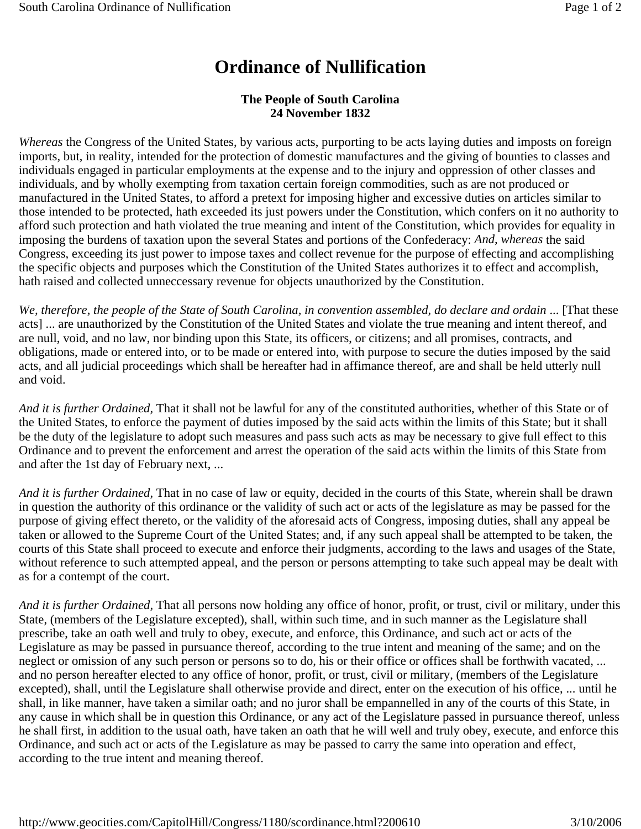## **Ordinance of Nullification**

## **The People of South Carolina 24 November 1832**

*Whereas* the Congress of the United States, by various acts, purporting to be acts laying duties and imposts on foreign imports, but, in reality, intended for the protection of domestic manufactures and the giving of bounties to classes and individuals engaged in particular employments at the expense and to the injury and oppression of other classes and individuals, and by wholly exempting from taxation certain foreign commodities, such as are not produced or manufactured in the United States, to afford a pretext for imposing higher and excessive duties on articles similar to those intended to be protected, hath exceeded its just powers under the Constitution, which confers on it no authority to afford such protection and hath violated the true meaning and intent of the Constitution, which provides for equality in imposing the burdens of taxation upon the several States and portions of the Confederacy: *And, whereas* the said Congress, exceeding its just power to impose taxes and collect revenue for the purpose of effecting and accomplishing the specific objects and purposes which the Constitution of the United States authorizes it to effect and accomplish, hath raised and collected unneccessary revenue for objects unauthorized by the Constitution.

*We, therefore, the people of the State of South Carolina, in convention assembled, do declare and ordain* ... [That these acts] ... are unauthorized by the Constitution of the United States and violate the true meaning and intent thereof, and are null, void, and no law, nor binding upon this State, its officers, or citizens; and all promises, contracts, and obligations, made or entered into, or to be made or entered into, with purpose to secure the duties imposed by the said acts, and all judicial proceedings which shall be hereafter had in affimance thereof, are and shall be held utterly null and void.

*And it is further Ordained,* That it shall not be lawful for any of the constituted authorities, whether of this State or of the United States, to enforce the payment of duties imposed by the said acts within the limits of this State; but it shall be the duty of the legislature to adopt such measures and pass such acts as may be necessary to give full effect to this Ordinance and to prevent the enforcement and arrest the operation of the said acts within the limits of this State from and after the 1st day of February next, ...

*And it is further Ordained,* That in no case of law or equity, decided in the courts of this State, wherein shall be drawn in question the authority of this ordinance or the validity of such act or acts of the legislature as may be passed for the purpose of giving effect thereto, or the validity of the aforesaid acts of Congress, imposing duties, shall any appeal be taken or allowed to the Supreme Court of the United States; and, if any such appeal shall be attempted to be taken, the courts of this State shall proceed to execute and enforce their judgments, according to the laws and usages of the State, without reference to such attempted appeal, and the person or persons attempting to take such appeal may be dealt with as for a contempt of the court.

*And it is further Ordained,* That all persons now holding any office of honor, profit, or trust, civil or military, under this State, (members of the Legislature excepted), shall, within such time, and in such manner as the Legislature shall prescribe, take an oath well and truly to obey, execute, and enforce, this Ordinance, and such act or acts of the Legislature as may be passed in pursuance thereof, according to the true intent and meaning of the same; and on the neglect or omission of any such person or persons so to do, his or their office or offices shall be forthwith vacated, ... and no person hereafter elected to any office of honor, profit, or trust, civil or military, (members of the Legislature excepted), shall, until the Legislature shall otherwise provide and direct, enter on the execution of his office, ... until he shall, in like manner, have taken a similar oath; and no juror shall be empannelled in any of the courts of this State, in any cause in which shall be in question this Ordinance, or any act of the Legislature passed in pursuance thereof, unless he shall first, in addition to the usual oath, have taken an oath that he will well and truly obey, execute, and enforce this Ordinance, and such act or acts of the Legislature as may be passed to carry the same into operation and effect, according to the true intent and meaning thereof.